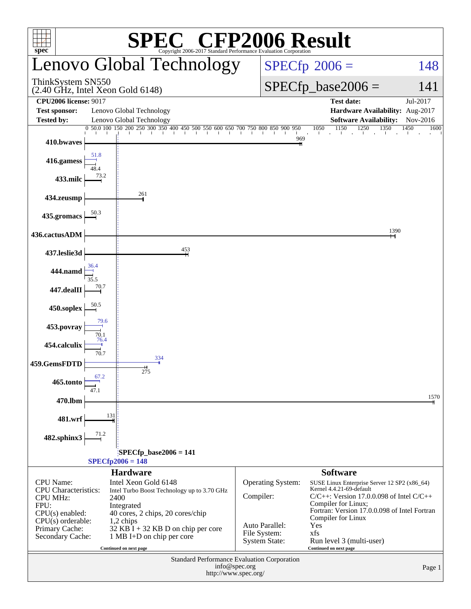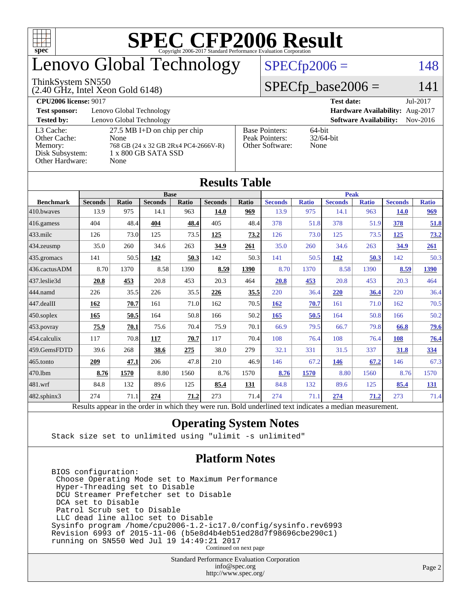

# enovo Global Technology

### ThinkSystem SN550

(2.40 GHz, Intel Xeon Gold 6148)

## $SPECfp2006 = 148$  $SPECfp2006 = 148$

### $SPECfp\_base2006 = 141$

| <b>CPU2006 license: 9017</b>                                               |                                                                                                                      |                                                            | <b>Test date:</b><br>Jul-2017             |
|----------------------------------------------------------------------------|----------------------------------------------------------------------------------------------------------------------|------------------------------------------------------------|-------------------------------------------|
| <b>Test sponsor:</b>                                                       | Lenovo Global Technology                                                                                             |                                                            | Hardware Availability: Aug-2017           |
| <b>Tested by:</b>                                                          | Lenovo Global Technology                                                                                             |                                                            | <b>Software Availability:</b><br>Nov-2016 |
| L3 Cache:<br>Other Cache:<br>Memory:<br>Disk Subsystem:<br>Other Hardware: | $27.5$ MB I+D on chip per chip<br>None<br>768 GB (24 x 32 GB 2Rx4 PC4-2666V-R)<br>$1 \times 800$ GB SATA SSD<br>None | <b>Base Pointers:</b><br>Peak Pointers:<br>Other Software: | $64$ -bit<br>$32/64$ -bit<br>None         |

**[Results Table](http://www.spec.org/auto/cpu2006/Docs/result-fields.html#ResultsTable)**

|                  |                                                                                                          |       |                |       | Results Tavic  |       |                |              |                |              |                |              |
|------------------|----------------------------------------------------------------------------------------------------------|-------|----------------|-------|----------------|-------|----------------|--------------|----------------|--------------|----------------|--------------|
|                  | <b>Base</b>                                                                                              |       |                |       |                |       | <b>Peak</b>    |              |                |              |                |              |
| <b>Benchmark</b> | <b>Seconds</b>                                                                                           | Ratio | <b>Seconds</b> | Ratio | <b>Seconds</b> | Ratio | <b>Seconds</b> | <b>Ratio</b> | <b>Seconds</b> | <b>Ratio</b> | <b>Seconds</b> | <b>Ratio</b> |
| 410.bwayes       | 13.9                                                                                                     | 975   | 14.1           | 963   | 14.0           | 969   | 13.9           | 975          | 14.1           | 963          | <b>14.0</b>    | 969          |
| $416$ .gamess    | 404                                                                                                      | 48.4  | 404            | 48.4  | 405            | 48.4  | 378            | 51.8         | 378            | 51.9         | 378            | 51.8         |
| 433.milc         | 126                                                                                                      | 73.0  | 125            | 73.5  | 125            | 73.2  | 126            | 73.0         | 125            | 73.5         | 125            | 73.2         |
| $434$ . zeusmp   | 35.0                                                                                                     | 260   | 34.6           | 263   | 34.9           | 261   | 35.0           | 260          | 34.6           | 263          | <u>34.9</u>    | 261          |
| $435.$ gromacs   | 141                                                                                                      | 50.5  | 142            | 50.3  | 142            | 50.3  | 141            | 50.5         | 142            | 50.3         | 142            | 50.3         |
| 436.cactusADM    | 8.70                                                                                                     | 1370  | 8.58           | 1390  | 8.59           | 1390  | 8.70           | 1370         | 8.58           | 1390         | 8.59           | 1390         |
| 437.leslie3d     | 20.8                                                                                                     | 453   | 20.8           | 453   | 20.3           | 464   | 20.8           | 453          | 20.8           | 453          | 20.3           | 464          |
| 444.namd         | 226                                                                                                      | 35.5  | 226            | 35.5  | 226            | 35.5  | 220            | 36.4         | 220            | 36.4         | 220            | 36.4         |
| $447$ .dealII    | 162                                                                                                      | 70.7  | 161            | 71.0  | 162            | 70.5  | 162            | 70.7         | 161            | 71.0         | 162            | 70.5         |
| $ 450$ .soplex   | 165                                                                                                      | 50.5  | 164            | 50.8  | 166            | 50.2  | 165            | 50.5         | 164            | 50.8         | 166            | 50.2         |
| $453$ .povray    | 75.9                                                                                                     | 70.1  | 75.6           | 70.4  | 75.9           | 70.1  | 66.9           | 79.5         | 66.7           | 79.8         | 66.8           | 79.6         |
| $454$ .calculix  | 117                                                                                                      | 70.8  | 117            | 70.7  | 117            | 70.4  | 108            | 76.4         | 108            | 76.4         | 108            | 76.4         |
| 459.GemsFDTD     | 39.6                                                                                                     | 268   | 38.6           | 275   | 38.0           | 279   | 32.1           | 331          | 31.5           | 337          | 31.8           | 334          |
| $465$ .tonto     | 209                                                                                                      | 47.1  | 206            | 47.8  | 210            | 46.9  | 146            | 67.2         | 146            | 67.2         | 146            | 67.3         |
| 470.1bm          | 8.76                                                                                                     | 1570  | 8.80           | 1560  | 8.76           | 1570  | 8.76           | 1570         | 8.80           | 1560         | 8.76           | 1570         |
| $ 481$ .wrf      | 84.8                                                                                                     | 132   | 89.6           | 125   | 85.4           | 131   | 84.8           | 132          | 89.6           | 125          | 85.4           | <u>131</u>   |
| 482.sphinx3      | 274                                                                                                      | 71.1  | 274            | 71.2  | 273            | 71.4  | 274            | 71.1         | 274            | 71.2         | 273            | 71.4         |
|                  | Results appear in the order in which they were run. Bold underlined text indicates a median measurement. |       |                |       |                |       |                |              |                |              |                |              |

# **[Operating System Notes](http://www.spec.org/auto/cpu2006/Docs/result-fields.html#OperatingSystemNotes)**

Stack size set to unlimited using "ulimit -s unlimited"

### **[Platform Notes](http://www.spec.org/auto/cpu2006/Docs/result-fields.html#PlatformNotes)**

 BIOS configuration: Choose Operating Mode set to Maximum Performance Hyper-Threading set to Disable DCU Streamer Prefetcher set to Disable DCA set to Disable Patrol Scrub set to Disable LLC dead line alloc set to Disable Sysinfo program /home/cpu2006-1.2-ic17.0/config/sysinfo.rev6993 Revision 6993 of 2015-11-06 (b5e8d4b4eb51ed28d7f98696cbe290c1) running on SN550 Wed Jul 19 14:49:21 2017 Continued on next page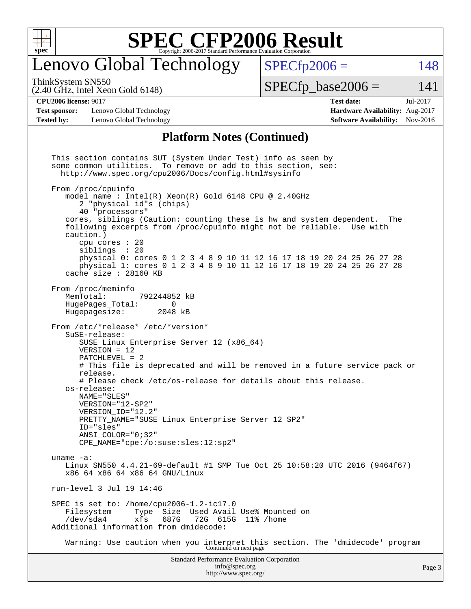

# enovo Global Technology

ThinkSystem SN550

(2.40 GHz, Intel Xeon Gold 6148)

 $SPECTp2006 = 148$ 

 $SPECTp\_base2006 = 141$ 

### **[CPU2006 license:](http://www.spec.org/auto/cpu2006/Docs/result-fields.html#CPU2006license)** 9017 **[Test date:](http://www.spec.org/auto/cpu2006/Docs/result-fields.html#Testdate)** Jul-2017

**[Test sponsor:](http://www.spec.org/auto/cpu2006/Docs/result-fields.html#Testsponsor)** Lenovo Global Technology **[Hardware Availability:](http://www.spec.org/auto/cpu2006/Docs/result-fields.html#HardwareAvailability)** Aug-2017 **[Tested by:](http://www.spec.org/auto/cpu2006/Docs/result-fields.html#Testedby)** Lenovo Global Technology **[Software Availability:](http://www.spec.org/auto/cpu2006/Docs/result-fields.html#SoftwareAvailability)** Nov-2016

# **[Platform Notes \(Continued\)](http://www.spec.org/auto/cpu2006/Docs/result-fields.html#PlatformNotes)**

Standard Performance Evaluation Corporation [info@spec.org](mailto:info@spec.org) This section contains SUT (System Under Test) info as seen by some common utilities. To remove or add to this section, see: <http://www.spec.org/cpu2006/Docs/config.html#sysinfo> From /proc/cpuinfo model name : Intel(R) Xeon(R) Gold 6148 CPU @ 2.40GHz 2 "physical id"s (chips) 40 "processors" cores, siblings (Caution: counting these is hw and system dependent. The following excerpts from /proc/cpuinfo might not be reliable. Use with caution.) cpu cores : 20 siblings : 20 physical 0: cores 0 1 2 3 4 8 9 10 11 12 16 17 18 19 20 24 25 26 27 28 physical 1: cores 0 1 2 3 4 8 9 10 11 12 16 17 18 19 20 24 25 26 27 28 cache size : 28160 KB From /proc/meminfo<br>MemTotal: 792244852 kB HugePages\_Total: 0 Hugepagesize: 2048 kB From /etc/\*release\* /etc/\*version\* SuSE-release: SUSE Linux Enterprise Server 12 (x86\_64) VERSION = 12 PATCHLEVEL = 2 # This file is deprecated and will be removed in a future service pack or release. # Please check /etc/os-release for details about this release. os-release: NAME="SLES" VERSION="12-SP2" VERSION\_ID="12.2" PRETTY\_NAME="SUSE Linux Enterprise Server 12 SP2" ID="sles" ANSI\_COLOR="0;32" CPE\_NAME="cpe:/o:suse:sles:12:sp2" uname -a: Linux SN550 4.4.21-69-default #1 SMP Tue Oct 25 10:58:20 UTC 2016 (9464f67) x86\_64 x86\_64 x86\_64 GNU/Linux run-level 3 Jul 19 14:46 SPEC is set to: /home/cpu2006-1.2-ic17.0 Filesystem Type Size Used Avail Use% Mounted on /dev/sda4 xfs 687G 72G 615G 11% /home Additional information from dmidecode: Warning: Use caution when you interpret this section. The 'dmidecode' program Continued on next page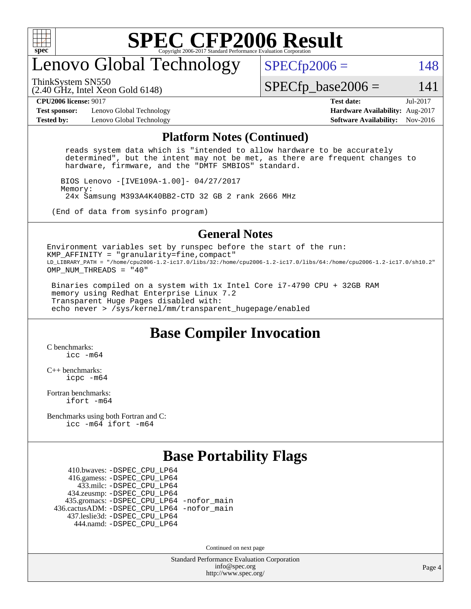

# enovo Global Technology

ThinkSystem SN550

 $SPECTp2006 = 148$ 

(2.40 GHz, Intel Xeon Gold 6148)

 $SPECTp\_base2006 = 141$ 

**[Test sponsor:](http://www.spec.org/auto/cpu2006/Docs/result-fields.html#Testsponsor)** Lenovo Global Technology **[Hardware Availability:](http://www.spec.org/auto/cpu2006/Docs/result-fields.html#HardwareAvailability)** Aug-2017 **[Tested by:](http://www.spec.org/auto/cpu2006/Docs/result-fields.html#Testedby)** Lenovo Global Technology **[Software Availability:](http://www.spec.org/auto/cpu2006/Docs/result-fields.html#SoftwareAvailability)** Nov-2016

**[CPU2006 license:](http://www.spec.org/auto/cpu2006/Docs/result-fields.html#CPU2006license)** 9017 **[Test date:](http://www.spec.org/auto/cpu2006/Docs/result-fields.html#Testdate)** Jul-2017

### **[Platform Notes \(Continued\)](http://www.spec.org/auto/cpu2006/Docs/result-fields.html#PlatformNotes)**

 reads system data which is "intended to allow hardware to be accurately determined", but the intent may not be met, as there are frequent changes to hardware, firmware, and the "DMTF SMBIOS" standard.

 BIOS Lenovo -[IVE109A-1.00]- 04/27/2017 Memory: 24x Samsung M393A4K40BB2-CTD 32 GB 2 rank 2666 MHz

(End of data from sysinfo program)

### **[General Notes](http://www.spec.org/auto/cpu2006/Docs/result-fields.html#GeneralNotes)**

Environment variables set by runspec before the start of the run: KMP AFFINITY = "granularity=fine, compact" LD\_LIBRARY\_PATH = "/home/cpu2006-1.2-ic17.0/libs/32:/home/cpu2006-1.2-ic17.0/libs/64:/home/cpu2006-1.2-ic17.0/sh10.2" OMP\_NUM\_THREADS = "40"

 Binaries compiled on a system with 1x Intel Core i7-4790 CPU + 32GB RAM memory using Redhat Enterprise Linux 7.2 Transparent Huge Pages disabled with: echo never > /sys/kernel/mm/transparent\_hugepage/enabled

## **[Base Compiler Invocation](http://www.spec.org/auto/cpu2006/Docs/result-fields.html#BaseCompilerInvocation)**

[C benchmarks](http://www.spec.org/auto/cpu2006/Docs/result-fields.html#Cbenchmarks): [icc -m64](http://www.spec.org/cpu2006/results/res2017q4/cpu2006-20170918-50103.flags.html#user_CCbase_intel_icc_64bit_bda6cc9af1fdbb0edc3795bac97ada53)

[C++ benchmarks:](http://www.spec.org/auto/cpu2006/Docs/result-fields.html#CXXbenchmarks) [icpc -m64](http://www.spec.org/cpu2006/results/res2017q4/cpu2006-20170918-50103.flags.html#user_CXXbase_intel_icpc_64bit_fc66a5337ce925472a5c54ad6a0de310)

[Fortran benchmarks](http://www.spec.org/auto/cpu2006/Docs/result-fields.html#Fortranbenchmarks): [ifort -m64](http://www.spec.org/cpu2006/results/res2017q4/cpu2006-20170918-50103.flags.html#user_FCbase_intel_ifort_64bit_ee9d0fb25645d0210d97eb0527dcc06e)

[Benchmarks using both Fortran and C](http://www.spec.org/auto/cpu2006/Docs/result-fields.html#BenchmarksusingbothFortranandC): [icc -m64](http://www.spec.org/cpu2006/results/res2017q4/cpu2006-20170918-50103.flags.html#user_CC_FCbase_intel_icc_64bit_bda6cc9af1fdbb0edc3795bac97ada53) [ifort -m64](http://www.spec.org/cpu2006/results/res2017q4/cpu2006-20170918-50103.flags.html#user_CC_FCbase_intel_ifort_64bit_ee9d0fb25645d0210d97eb0527dcc06e)

## **[Base Portability Flags](http://www.spec.org/auto/cpu2006/Docs/result-fields.html#BasePortabilityFlags)**

 410.bwaves: [-DSPEC\\_CPU\\_LP64](http://www.spec.org/cpu2006/results/res2017q4/cpu2006-20170918-50103.flags.html#suite_basePORTABILITY410_bwaves_DSPEC_CPU_LP64) 416.gamess: [-DSPEC\\_CPU\\_LP64](http://www.spec.org/cpu2006/results/res2017q4/cpu2006-20170918-50103.flags.html#suite_basePORTABILITY416_gamess_DSPEC_CPU_LP64) 433.milc: [-DSPEC\\_CPU\\_LP64](http://www.spec.org/cpu2006/results/res2017q4/cpu2006-20170918-50103.flags.html#suite_basePORTABILITY433_milc_DSPEC_CPU_LP64) 434.zeusmp: [-DSPEC\\_CPU\\_LP64](http://www.spec.org/cpu2006/results/res2017q4/cpu2006-20170918-50103.flags.html#suite_basePORTABILITY434_zeusmp_DSPEC_CPU_LP64) 435.gromacs: [-DSPEC\\_CPU\\_LP64](http://www.spec.org/cpu2006/results/res2017q4/cpu2006-20170918-50103.flags.html#suite_basePORTABILITY435_gromacs_DSPEC_CPU_LP64) [-nofor\\_main](http://www.spec.org/cpu2006/results/res2017q4/cpu2006-20170918-50103.flags.html#user_baseLDPORTABILITY435_gromacs_f-nofor_main) 436.cactusADM: [-DSPEC\\_CPU\\_LP64](http://www.spec.org/cpu2006/results/res2017q4/cpu2006-20170918-50103.flags.html#suite_basePORTABILITY436_cactusADM_DSPEC_CPU_LP64) [-nofor\\_main](http://www.spec.org/cpu2006/results/res2017q4/cpu2006-20170918-50103.flags.html#user_baseLDPORTABILITY436_cactusADM_f-nofor_main) 437.leslie3d: [-DSPEC\\_CPU\\_LP64](http://www.spec.org/cpu2006/results/res2017q4/cpu2006-20170918-50103.flags.html#suite_basePORTABILITY437_leslie3d_DSPEC_CPU_LP64) 444.namd: [-DSPEC\\_CPU\\_LP64](http://www.spec.org/cpu2006/results/res2017q4/cpu2006-20170918-50103.flags.html#suite_basePORTABILITY444_namd_DSPEC_CPU_LP64)

Continued on next page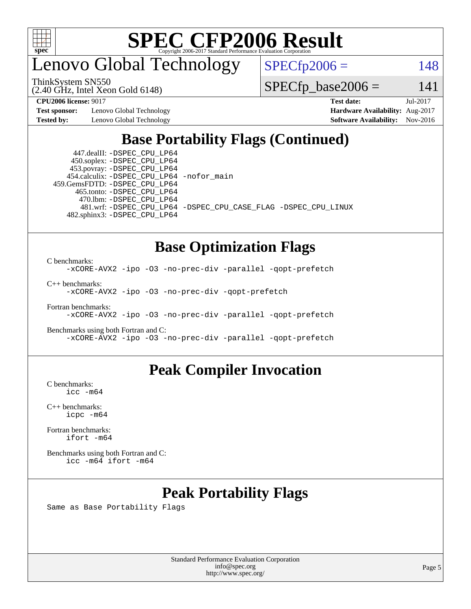

enovo Global Technology

 $SPECfp2006 = 148$  $SPECfp2006 = 148$ 

ThinkSystem SN550

(2.40 GHz, Intel Xeon Gold 6148)

 $SPECfp\_base2006 = 141$ 

**[Test sponsor:](http://www.spec.org/auto/cpu2006/Docs/result-fields.html#Testsponsor)** Lenovo Global Technology **[Hardware Availability:](http://www.spec.org/auto/cpu2006/Docs/result-fields.html#HardwareAvailability)** Aug-2017

**[CPU2006 license:](http://www.spec.org/auto/cpu2006/Docs/result-fields.html#CPU2006license)** 9017 **[Test date:](http://www.spec.org/auto/cpu2006/Docs/result-fields.html#Testdate)** Jul-2017 **[Tested by:](http://www.spec.org/auto/cpu2006/Docs/result-fields.html#Testedby)** Lenovo Global Technology **[Software Availability:](http://www.spec.org/auto/cpu2006/Docs/result-fields.html#SoftwareAvailability)** Nov-2016

# **[Base Portability Flags \(Continued\)](http://www.spec.org/auto/cpu2006/Docs/result-fields.html#BasePortabilityFlags)**

 447.dealII: [-DSPEC\\_CPU\\_LP64](http://www.spec.org/cpu2006/results/res2017q4/cpu2006-20170918-50103.flags.html#suite_basePORTABILITY447_dealII_DSPEC_CPU_LP64) 450.soplex: [-DSPEC\\_CPU\\_LP64](http://www.spec.org/cpu2006/results/res2017q4/cpu2006-20170918-50103.flags.html#suite_basePORTABILITY450_soplex_DSPEC_CPU_LP64) 453.povray: [-DSPEC\\_CPU\\_LP64](http://www.spec.org/cpu2006/results/res2017q4/cpu2006-20170918-50103.flags.html#suite_basePORTABILITY453_povray_DSPEC_CPU_LP64) 454.calculix: [-DSPEC\\_CPU\\_LP64](http://www.spec.org/cpu2006/results/res2017q4/cpu2006-20170918-50103.flags.html#suite_basePORTABILITY454_calculix_DSPEC_CPU_LP64) [-nofor\\_main](http://www.spec.org/cpu2006/results/res2017q4/cpu2006-20170918-50103.flags.html#user_baseLDPORTABILITY454_calculix_f-nofor_main) 459.GemsFDTD: [-DSPEC\\_CPU\\_LP64](http://www.spec.org/cpu2006/results/res2017q4/cpu2006-20170918-50103.flags.html#suite_basePORTABILITY459_GemsFDTD_DSPEC_CPU_LP64) 465.tonto: [-DSPEC\\_CPU\\_LP64](http://www.spec.org/cpu2006/results/res2017q4/cpu2006-20170918-50103.flags.html#suite_basePORTABILITY465_tonto_DSPEC_CPU_LP64) 470.lbm: [-DSPEC\\_CPU\\_LP64](http://www.spec.org/cpu2006/results/res2017q4/cpu2006-20170918-50103.flags.html#suite_basePORTABILITY470_lbm_DSPEC_CPU_LP64) 482.sphinx3: [-DSPEC\\_CPU\\_LP64](http://www.spec.org/cpu2006/results/res2017q4/cpu2006-20170918-50103.flags.html#suite_basePORTABILITY482_sphinx3_DSPEC_CPU_LP64)

481.wrf: [-DSPEC\\_CPU\\_LP64](http://www.spec.org/cpu2006/results/res2017q4/cpu2006-20170918-50103.flags.html#suite_basePORTABILITY481_wrf_DSPEC_CPU_LP64) [-DSPEC\\_CPU\\_CASE\\_FLAG](http://www.spec.org/cpu2006/results/res2017q4/cpu2006-20170918-50103.flags.html#b481.wrf_baseCPORTABILITY_DSPEC_CPU_CASE_FLAG) [-DSPEC\\_CPU\\_LINUX](http://www.spec.org/cpu2006/results/res2017q4/cpu2006-20170918-50103.flags.html#b481.wrf_baseCPORTABILITY_DSPEC_CPU_LINUX)

# **[Base Optimization Flags](http://www.spec.org/auto/cpu2006/Docs/result-fields.html#BaseOptimizationFlags)**

[C benchmarks](http://www.spec.org/auto/cpu2006/Docs/result-fields.html#Cbenchmarks):

[-xCORE-AVX2](http://www.spec.org/cpu2006/results/res2017q4/cpu2006-20170918-50103.flags.html#user_CCbase_f-xCORE-AVX2) [-ipo](http://www.spec.org/cpu2006/results/res2017q4/cpu2006-20170918-50103.flags.html#user_CCbase_f-ipo) [-O3](http://www.spec.org/cpu2006/results/res2017q4/cpu2006-20170918-50103.flags.html#user_CCbase_f-O3) [-no-prec-div](http://www.spec.org/cpu2006/results/res2017q4/cpu2006-20170918-50103.flags.html#user_CCbase_f-no-prec-div) [-parallel](http://www.spec.org/cpu2006/results/res2017q4/cpu2006-20170918-50103.flags.html#user_CCbase_f-parallel) [-qopt-prefetch](http://www.spec.org/cpu2006/results/res2017q4/cpu2006-20170918-50103.flags.html#user_CCbase_f-qopt-prefetch)

[C++ benchmarks:](http://www.spec.org/auto/cpu2006/Docs/result-fields.html#CXXbenchmarks) [-xCORE-AVX2](http://www.spec.org/cpu2006/results/res2017q4/cpu2006-20170918-50103.flags.html#user_CXXbase_f-xCORE-AVX2) [-ipo](http://www.spec.org/cpu2006/results/res2017q4/cpu2006-20170918-50103.flags.html#user_CXXbase_f-ipo) [-O3](http://www.spec.org/cpu2006/results/res2017q4/cpu2006-20170918-50103.flags.html#user_CXXbase_f-O3) [-no-prec-div](http://www.spec.org/cpu2006/results/res2017q4/cpu2006-20170918-50103.flags.html#user_CXXbase_f-no-prec-div) [-qopt-prefetch](http://www.spec.org/cpu2006/results/res2017q4/cpu2006-20170918-50103.flags.html#user_CXXbase_f-qopt-prefetch)

[Fortran benchmarks](http://www.spec.org/auto/cpu2006/Docs/result-fields.html#Fortranbenchmarks): [-xCORE-AVX2](http://www.spec.org/cpu2006/results/res2017q4/cpu2006-20170918-50103.flags.html#user_FCbase_f-xCORE-AVX2) [-ipo](http://www.spec.org/cpu2006/results/res2017q4/cpu2006-20170918-50103.flags.html#user_FCbase_f-ipo) [-O3](http://www.spec.org/cpu2006/results/res2017q4/cpu2006-20170918-50103.flags.html#user_FCbase_f-O3) [-no-prec-div](http://www.spec.org/cpu2006/results/res2017q4/cpu2006-20170918-50103.flags.html#user_FCbase_f-no-prec-div) [-parallel](http://www.spec.org/cpu2006/results/res2017q4/cpu2006-20170918-50103.flags.html#user_FCbase_f-parallel) [-qopt-prefetch](http://www.spec.org/cpu2006/results/res2017q4/cpu2006-20170918-50103.flags.html#user_FCbase_f-qopt-prefetch)

[Benchmarks using both Fortran and C](http://www.spec.org/auto/cpu2006/Docs/result-fields.html#BenchmarksusingbothFortranandC): [-xCORE-AVX2](http://www.spec.org/cpu2006/results/res2017q4/cpu2006-20170918-50103.flags.html#user_CC_FCbase_f-xCORE-AVX2) [-ipo](http://www.spec.org/cpu2006/results/res2017q4/cpu2006-20170918-50103.flags.html#user_CC_FCbase_f-ipo) [-O3](http://www.spec.org/cpu2006/results/res2017q4/cpu2006-20170918-50103.flags.html#user_CC_FCbase_f-O3) [-no-prec-div](http://www.spec.org/cpu2006/results/res2017q4/cpu2006-20170918-50103.flags.html#user_CC_FCbase_f-no-prec-div) [-parallel](http://www.spec.org/cpu2006/results/res2017q4/cpu2006-20170918-50103.flags.html#user_CC_FCbase_f-parallel) [-qopt-prefetch](http://www.spec.org/cpu2006/results/res2017q4/cpu2006-20170918-50103.flags.html#user_CC_FCbase_f-qopt-prefetch)

## **[Peak Compiler Invocation](http://www.spec.org/auto/cpu2006/Docs/result-fields.html#PeakCompilerInvocation)**

[C benchmarks](http://www.spec.org/auto/cpu2006/Docs/result-fields.html#Cbenchmarks): [icc -m64](http://www.spec.org/cpu2006/results/res2017q4/cpu2006-20170918-50103.flags.html#user_CCpeak_intel_icc_64bit_bda6cc9af1fdbb0edc3795bac97ada53)

[C++ benchmarks:](http://www.spec.org/auto/cpu2006/Docs/result-fields.html#CXXbenchmarks) [icpc -m64](http://www.spec.org/cpu2006/results/res2017q4/cpu2006-20170918-50103.flags.html#user_CXXpeak_intel_icpc_64bit_fc66a5337ce925472a5c54ad6a0de310)

[Fortran benchmarks](http://www.spec.org/auto/cpu2006/Docs/result-fields.html#Fortranbenchmarks): [ifort -m64](http://www.spec.org/cpu2006/results/res2017q4/cpu2006-20170918-50103.flags.html#user_FCpeak_intel_ifort_64bit_ee9d0fb25645d0210d97eb0527dcc06e)

[Benchmarks using both Fortran and C](http://www.spec.org/auto/cpu2006/Docs/result-fields.html#BenchmarksusingbothFortranandC): [icc -m64](http://www.spec.org/cpu2006/results/res2017q4/cpu2006-20170918-50103.flags.html#user_CC_FCpeak_intel_icc_64bit_bda6cc9af1fdbb0edc3795bac97ada53) [ifort -m64](http://www.spec.org/cpu2006/results/res2017q4/cpu2006-20170918-50103.flags.html#user_CC_FCpeak_intel_ifort_64bit_ee9d0fb25645d0210d97eb0527dcc06e)

# **[Peak Portability Flags](http://www.spec.org/auto/cpu2006/Docs/result-fields.html#PeakPortabilityFlags)**

Same as Base Portability Flags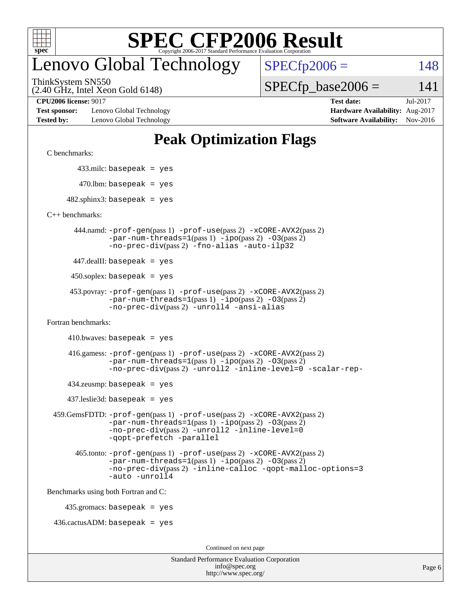

# enovo Global Technology

 $SPECTp2006 = 148$ 

ThinkSystem SN550

(2.40 GHz, Intel Xeon Gold 6148)

**[Test sponsor:](http://www.spec.org/auto/cpu2006/Docs/result-fields.html#Testsponsor)** Lenovo Global Technology **[Hardware Availability:](http://www.spec.org/auto/cpu2006/Docs/result-fields.html#HardwareAvailability)** Aug-2017 **[Tested by:](http://www.spec.org/auto/cpu2006/Docs/result-fields.html#Testedby)** Lenovo Global Technology **[Software Availability:](http://www.spec.org/auto/cpu2006/Docs/result-fields.html#SoftwareAvailability)** Nov-2016

**[CPU2006 license:](http://www.spec.org/auto/cpu2006/Docs/result-fields.html#CPU2006license)** 9017 **[Test date:](http://www.spec.org/auto/cpu2006/Docs/result-fields.html#Testdate)** Jul-2017

 $SPECTp\_base2006 = 141$ 

# **[Peak Optimization Flags](http://www.spec.org/auto/cpu2006/Docs/result-fields.html#PeakOptimizationFlags)**

[C benchmarks](http://www.spec.org/auto/cpu2006/Docs/result-fields.html#Cbenchmarks):

433.milc: basepeak = yes

 $470.$ lbm: basepeak = yes

 $482$ .sphinx3: basepeak = yes

[C++ benchmarks:](http://www.spec.org/auto/cpu2006/Docs/result-fields.html#CXXbenchmarks)

 444.namd: [-prof-gen](http://www.spec.org/cpu2006/results/res2017q4/cpu2006-20170918-50103.flags.html#user_peakPASS1_CXXFLAGSPASS1_LDFLAGS444_namd_prof_gen_e43856698f6ca7b7e442dfd80e94a8fc)(pass 1) [-prof-use](http://www.spec.org/cpu2006/results/res2017q4/cpu2006-20170918-50103.flags.html#user_peakPASS2_CXXFLAGSPASS2_LDFLAGS444_namd_prof_use_bccf7792157ff70d64e32fe3e1250b55)(pass 2) [-xCORE-AVX2](http://www.spec.org/cpu2006/results/res2017q4/cpu2006-20170918-50103.flags.html#user_peakPASS2_CXXFLAGSPASS2_LDFLAGS444_namd_f-xCORE-AVX2)(pass 2)  $-par-num-threads=1(pass 1) -ipo(pass 2) -O3(pass 2)$  $-par-num-threads=1(pass 1) -ipo(pass 2) -O3(pass 2)$  $-par-num-threads=1(pass 1) -ipo(pass 2) -O3(pass 2)$  $-par-num-threads=1(pass 1) -ipo(pass 2) -O3(pass 2)$  $-par-num-threads=1(pass 1) -ipo(pass 2) -O3(pass 2)$  $-par-num-threads=1(pass 1) -ipo(pass 2) -O3(pass 2)$ [-no-prec-div](http://www.spec.org/cpu2006/results/res2017q4/cpu2006-20170918-50103.flags.html#user_peakPASS2_CXXFLAGSPASS2_LDFLAGS444_namd_f-no-prec-div)(pass 2) [-fno-alias](http://www.spec.org/cpu2006/results/res2017q4/cpu2006-20170918-50103.flags.html#user_peakCXXOPTIMIZEOPTIMIZE444_namd_f-no-alias_694e77f6c5a51e658e82ccff53a9e63a) [-auto-ilp32](http://www.spec.org/cpu2006/results/res2017q4/cpu2006-20170918-50103.flags.html#user_peakCXXOPTIMIZE444_namd_f-auto-ilp32)

447.dealII: basepeak = yes

 $450$ .soplex: basepeak = yes

 453.povray: [-prof-gen](http://www.spec.org/cpu2006/results/res2017q4/cpu2006-20170918-50103.flags.html#user_peakPASS1_CXXFLAGSPASS1_LDFLAGS453_povray_prof_gen_e43856698f6ca7b7e442dfd80e94a8fc)(pass 1) [-prof-use](http://www.spec.org/cpu2006/results/res2017q4/cpu2006-20170918-50103.flags.html#user_peakPASS2_CXXFLAGSPASS2_LDFLAGS453_povray_prof_use_bccf7792157ff70d64e32fe3e1250b55)(pass 2) [-xCORE-AVX2](http://www.spec.org/cpu2006/results/res2017q4/cpu2006-20170918-50103.flags.html#user_peakPASS2_CXXFLAGSPASS2_LDFLAGS453_povray_f-xCORE-AVX2)(pass 2)  $-par-num-threads=1(pass 1) -ipo(pass 2) -O3(pass 2)$  $-par-num-threads=1(pass 1) -ipo(pass 2) -O3(pass 2)$  $-par-num-threads=1(pass 1) -ipo(pass 2) -O3(pass 2)$  $-par-num-threads=1(pass 1) -ipo(pass 2) -O3(pass 2)$  $-par-num-threads=1(pass 1) -ipo(pass 2) -O3(pass 2)$  $-par-num-threads=1(pass 1) -ipo(pass 2) -O3(pass 2)$ [-no-prec-div](http://www.spec.org/cpu2006/results/res2017q4/cpu2006-20170918-50103.flags.html#user_peakPASS2_CXXFLAGSPASS2_LDFLAGS453_povray_f-no-prec-div)(pass 2) [-unroll4](http://www.spec.org/cpu2006/results/res2017q4/cpu2006-20170918-50103.flags.html#user_peakCXXOPTIMIZE453_povray_f-unroll_4e5e4ed65b7fd20bdcd365bec371b81f) [-ansi-alias](http://www.spec.org/cpu2006/results/res2017q4/cpu2006-20170918-50103.flags.html#user_peakCXXOPTIMIZE453_povray_f-ansi-alias)

[Fortran benchmarks](http://www.spec.org/auto/cpu2006/Docs/result-fields.html#Fortranbenchmarks):

 $410.bwaves: basepeak = yes$ 

 416.gamess: [-prof-gen](http://www.spec.org/cpu2006/results/res2017q4/cpu2006-20170918-50103.flags.html#user_peakPASS1_FFLAGSPASS1_LDFLAGS416_gamess_prof_gen_e43856698f6ca7b7e442dfd80e94a8fc)(pass 1) [-prof-use](http://www.spec.org/cpu2006/results/res2017q4/cpu2006-20170918-50103.flags.html#user_peakPASS2_FFLAGSPASS2_LDFLAGS416_gamess_prof_use_bccf7792157ff70d64e32fe3e1250b55)(pass 2) [-xCORE-AVX2](http://www.spec.org/cpu2006/results/res2017q4/cpu2006-20170918-50103.flags.html#user_peakPASS2_FFLAGSPASS2_LDFLAGS416_gamess_f-xCORE-AVX2)(pass 2)  $-par-num-threads=1(pass 1) -ipo(pass 2) -O3(pass 2)$  $-par-num-threads=1(pass 1) -ipo(pass 2) -O3(pass 2)$  $-par-num-threads=1(pass 1) -ipo(pass 2) -O3(pass 2)$  $-par-num-threads=1(pass 1) -ipo(pass 2) -O3(pass 2)$  $-par-num-threads=1(pass 1) -ipo(pass 2) -O3(pass 2)$  $-par-num-threads=1(pass 1) -ipo(pass 2) -O3(pass 2)$ [-no-prec-div](http://www.spec.org/cpu2006/results/res2017q4/cpu2006-20170918-50103.flags.html#user_peakPASS2_FFLAGSPASS2_LDFLAGS416_gamess_f-no-prec-div)(pass 2) [-unroll2](http://www.spec.org/cpu2006/results/res2017q4/cpu2006-20170918-50103.flags.html#user_peakOPTIMIZE416_gamess_f-unroll_784dae83bebfb236979b41d2422d7ec2) [-inline-level=0](http://www.spec.org/cpu2006/results/res2017q4/cpu2006-20170918-50103.flags.html#user_peakOPTIMIZE416_gamess_f-inline-level_318d07a09274ad25e8d15dbfaa68ba50) [-scalar-rep-](http://www.spec.org/cpu2006/results/res2017q4/cpu2006-20170918-50103.flags.html#user_peakOPTIMIZE416_gamess_f-disablescalarrep_abbcad04450fb118e4809c81d83c8a1d)

 $434$ .zeusmp: basepeak = yes

437.leslie3d: basepeak = yes

```
 459.GemsFDTD: -prof-gen(pass 1) -prof-use(pass 2) -xCORE-AVX2(pass 2)
-par-num-threads=1-ipo-O3(pass 2)-no-prec-div(pass 2) -unroll2 -inline-level=0
-qopt-prefetch -parallel
```
 465.tonto: [-prof-gen](http://www.spec.org/cpu2006/results/res2017q4/cpu2006-20170918-50103.flags.html#user_peakPASS1_FFLAGSPASS1_LDFLAGS465_tonto_prof_gen_e43856698f6ca7b7e442dfd80e94a8fc)(pass 1) [-prof-use](http://www.spec.org/cpu2006/results/res2017q4/cpu2006-20170918-50103.flags.html#user_peakPASS2_FFLAGSPASS2_LDFLAGS465_tonto_prof_use_bccf7792157ff70d64e32fe3e1250b55)(pass 2) [-xCORE-AVX2](http://www.spec.org/cpu2006/results/res2017q4/cpu2006-20170918-50103.flags.html#user_peakPASS2_FFLAGSPASS2_LDFLAGS465_tonto_f-xCORE-AVX2)(pass 2)  $-par-num-threads=1(pass 1) -ipo(pass 2) -O3(pass 2)$  $-par-num-threads=1(pass 1) -ipo(pass 2) -O3(pass 2)$  $-par-num-threads=1(pass 1) -ipo(pass 2) -O3(pass 2)$  $-par-num-threads=1(pass 1) -ipo(pass 2) -O3(pass 2)$  $-par-num-threads=1(pass 1) -ipo(pass 2) -O3(pass 2)$  $-par-num-threads=1(pass 1) -ipo(pass 2) -O3(pass 2)$ [-no-prec-div](http://www.spec.org/cpu2006/results/res2017q4/cpu2006-20170918-50103.flags.html#user_peakPASS2_FFLAGSPASS2_LDFLAGS465_tonto_f-no-prec-div)(pass 2) [-inline-calloc](http://www.spec.org/cpu2006/results/res2017q4/cpu2006-20170918-50103.flags.html#user_peakOPTIMIZE465_tonto_f-inline-calloc) [-qopt-malloc-options=3](http://www.spec.org/cpu2006/results/res2017q4/cpu2006-20170918-50103.flags.html#user_peakOPTIMIZE465_tonto_f-qopt-malloc-options_0fcb435012e78f27d57f473818e45fe4) [-auto](http://www.spec.org/cpu2006/results/res2017q4/cpu2006-20170918-50103.flags.html#user_peakOPTIMIZE465_tonto_f-auto) [-unroll4](http://www.spec.org/cpu2006/results/res2017q4/cpu2006-20170918-50103.flags.html#user_peakOPTIMIZE465_tonto_f-unroll_4e5e4ed65b7fd20bdcd365bec371b81f)

[Benchmarks using both Fortran and C](http://www.spec.org/auto/cpu2006/Docs/result-fields.html#BenchmarksusingbothFortranandC):

435.gromacs: basepeak = yes

 $436.cactusADM:basepeak = yes$ 

Continued on next page

| <b>Standard Performance Evaluation Corporation</b> |
|----------------------------------------------------|
| info@spec.org                                      |
| http://www.spec.org/                               |